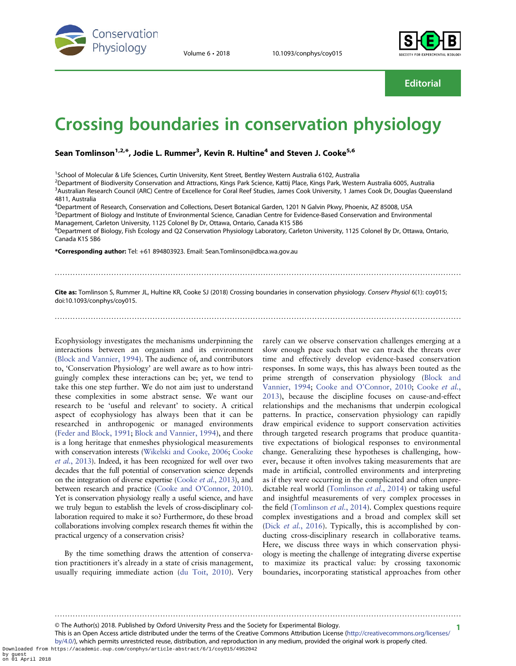

Volume 6 • 2018 10.1093/conphys/coy015



**Editorial** 

# Crossing boundaries in conservation physiology

Sean Tomlinson<sup>1,2,\*</sup>, Jodie L. Rummer<sup>3</sup>, Kevin R. Hultine<sup>4</sup> and Steven J. Cooke<sup>5,6</sup>

<sup>1</sup>School of Molecular & Life Sciences, Curtin University, Kent Street, Bentley Western Australia 6102, Australia

2 Department of Biodiversity Conservation and Attractions, Kings Park Science, Kattij Place, Kings Park, Western Australia 6005, Australia <sup>3</sup>Australian Research Council (ARC) Centre of Excellence for Coral Reef Studies, James Cook University, 1 James Cook Dr, Douglas Queensland 4811, Australia

4 Department of Research, Conservation and Collections, Desert Botanical Garden, 1201 N Galvin Pkwy, Phoenix, AZ 85008, USA 5 Department of Biology and Institute of Environmental Science, Canadian Centre for Evidence-Based Conservation and Environmental

Management, Carleton University, 1125 Colonel By Dr, Ottawa, Ontario, Canada K1S 5B6

<sup>6</sup>Department of Biology, Fish Ecology and Q2 Conservation Physiology Laboratory, Carleton University, 1125 Colonel By Dr, Ottawa, Ontario, Canada K1S 5B6

\*Corresponding author: Tel: +61 894803923. Email: Sean.Tomlinson@dbca.wa.gov.au

Cite as: Tomlinson S, Rummer JL, Hultine KR, Cooke SJ (2018) Crossing boundaries in conservation physiology. Conserv Physiol 6(1): coy015; doi:10.1093/conphys/coy015.

..............................................................................................................................................................

#### ..............................................................................................................................................................

Ecophysiology investigates the mechanisms underpinning the interactions between an organism and its environment [\(Block and Vannier, 1994\)](#page-3-0). The audience of, and contributors to, 'Conservation Physiology' are well aware as to how intriguingly complex these interactions can be; yet, we tend to take this one step further. We do not aim just to understand these complexities in some abstract sense. We want our research to be 'useful and relevant' to society. A critical aspect of ecophysiology has always been that it can be researched in anthropogenic or managed environments [\(Feder and Block, 1991](#page-3-0); [Block and Vannier, 1994\)](#page-3-0), and there is a long heritage that enmeshes physiological measurements with conservation interests [\(Wikelski and Cooke, 2006;](#page-4-0) [Cooke](#page-3-0) et al.[, 2013\)](#page-3-0). Indeed, it has been recognized for well over two decades that the full potential of conservation science depends on the integration of diverse expertise ([Cooke](#page-3-0) et al., 2013), and between research and practice (Cooke and O'[Connor, 2010](#page-3-0)). Yet is conservation physiology really a useful science, and have we truly begun to establish the levels of cross-disciplinary collaboration required to make it so? Furthermore, do these broad collaborations involving complex research themes fit within the practical urgency of a conservation crisis?

By the time something draws the attention of conservation practitioners it's already in a state of crisis management, usually requiring immediate action ([du Toit, 2010\)](#page-3-0). Very rarely can we observe conservation challenges emerging at a slow enough pace such that we can track the threats over time and effectively develop evidence-based conservation responses. In some ways, this has always been touted as the prime strength of conservation physiology ([Block and](#page-3-0) [Vannier, 1994;](#page-3-0) Cooke and O'[Connor, 2010;](#page-3-0) [Cooke](#page-3-0) et al., [2013\)](#page-3-0), because the discipline focuses on cause-and-effect relationships and the mechanisms that underpin ecological patterns. In practice, conservation physiology can rapidly draw empirical evidence to support conservation activities through targeted research programs that produce quantitative expectations of biological responses to environmental change. Generalizing these hypotheses is challenging, however, because it often involves taking measurements that are made in artificial, controlled environments and interpreting as if they were occurring in the complicated and often unpredictable real world ([Tomlinson](#page-4-0) et al., 2014) or taking useful and insightful measurements of very complex processes in the field ([Tomlinson](#page-4-0) *et al.*, 2014). Complex questions require complex investigations and a broad and complex skill set (Dick et al.[, 2016\)](#page-3-0). Typically, this is accomplished by conducting cross-disciplinary research in collaborative teams. Here, we discuss three ways in which conservation physiology is meeting the challenge of integrating diverse expertise to maximize its practical value: by crossing taxonomic boundaries, incorporating statistical approaches from other

1 © The Author(s) 2018. Published by Oxford University Press and the Society for Experimental Biology.

This is an Open Access article distributed under the terms of the Creative Commons Attribution License [\(http://creativecommons.org/licenses/](http://creativecommons.org/licenses/by/4.0/) [by/4.0/](http://creativecommons.org/licenses/by/4.0/)), which permits unrestricted reuse, distribution, and reproduction in any medium, provided the original work is properly cited.

..............................................................................................................................................................

Downloaded from https://academic.oup.com/conphys/article-abstract/6/1/coy015/4952042 by guest on 01 April 2018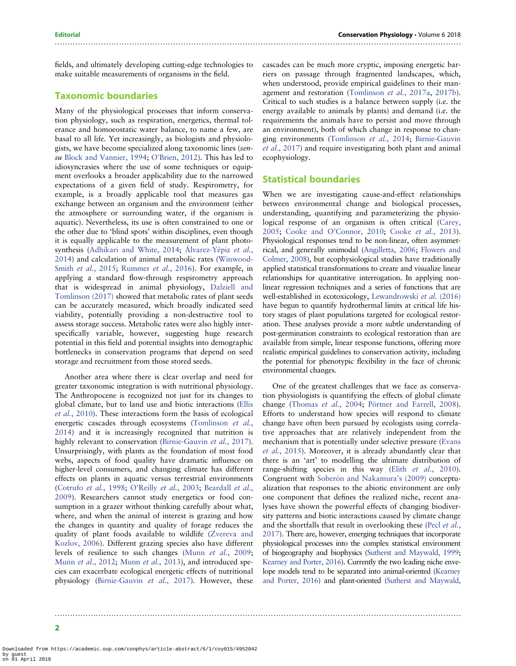fields, and ultimately developing cutting-edge technologies to make suitable measurements of organisms in the field.

# Taxonomic boundaries

Many of the physiological processes that inform conservation physiology, such as respiration, energetics, thermal tolerance and homoeostatic water balance, to name a few, are basal to all life. Yet increasingly, as biologists and physiologists, we have become specialized along taxonomic lines (sensu [Block and Vannier, 1994](#page-3-0); O'[Brien, 2012\)](#page-4-0). This has led to idiosyncrasies where the use of some techniques or equipment overlooks a broader applicability due to the narrowed expectations of a given field of study. Respirometry, for example, is a broadly applicable tool that measures gas exchange between an organism and the environment (either the atmosphere or surrounding water, if the organism is aquatic). Nevertheless, its use is often constrained to one or the other due to 'blind spots' within disciplines, even though it is equally applicable to the measurement of plant photosynthesis [\(Adhikari and White, 2014;](#page-3-0) [Álvarez-Yépiz](#page-3-0) et al., [2014](#page-3-0)) and calculation of animal metabolic rates [\(Winwood-](#page-4-0)Smith et al.[, 2015;](#page-4-0) [Rummer](#page-4-0) et al., 2016). For example, in applying a standard flow-through respirometry approach that is widespread in animal physiology, [Dalziell and](#page-3-0) [Tomlinson \(2017\)](#page-3-0) showed that metabolic rates of plant seeds can be accurately measured, which broadly indicated seed viability, potentially providing a non-destructive tool to assess storage success. Metabolic rates were also highly interspecifically variable, however, suggesting huge research potential in this field and potential insights into demographic bottlenecks in conservation programs that depend on seed storage and recruitment from those stored seeds.

Another area where there is clear overlap and need for greater taxonomic integration is with nutritional physiology. The Anthropocene is recognized not just for its changes to global climate, but to land use and biotic interactions [\(Ellis](#page-3-0) et al.[, 2010](#page-3-0)). These interactions form the basis of ecological energetic cascades through ecosystems [\(Tomlinson](#page-4-0) et al., [2014](#page-4-0)) and it is increasingly recognized that nutrition is highly relevant to conservation ([Birnie-Gauvin](#page-3-0) et al., 2017). Unsurprisingly, with plants as the foundation of most food webs, aspects of food quality have dramatic influence on higher-level consumers, and changing climate has different effects on plants in aquatic versus terrestrial environments [\(Cotrufo](#page-3-0) et al., 1998; O'Reilly et al.[, 2003](#page-4-0); [Beardall](#page-3-0) et al., [2009](#page-3-0)). Researchers cannot study energetics or food consumption in a grazer without thinking carefully about what, where, and when the animal of interest is grazing and how the changes in quantity and quality of forage reduces the quality of plant foods available to wildlife ([Zvereva and](#page-4-0) [Kozlov, 2006](#page-4-0)). Different grazing species also have different levels of resilience to such changes (Munn et al.[, 2009](#page-4-0); Munn et al.[, 2012](#page-4-0); Munn et al.[, 2013](#page-4-0)), and introduced species can exacerbate ecological energetic effects of nutritional physiology ([Birnie-Gauvin](#page-3-0) et al., 2017). However, these

..............................................................................................................................................................

cascades can be much more cryptic, imposing energetic barriers on passage through fragmented landscapes, which, when understood, provide empirical guidelines to their management and restoration ([Tomlinson](#page-4-0) et al., 2017a, [2017b\)](#page-4-0). Critical to such studies is a balance between supply (i.e. the energy available to animals by plants) and demand (i.e. the requirements the animals have to persist and move through an environment), both of which change in response to changing environments [\(Tomlinson](#page-4-0) et al., 2014; [Birnie-Gauvin](#page-3-0) et al.[, 2017](#page-3-0)) and require investigating both plant and animal ecophysiology.

### Statistical boundaries

..............................................................................................................................................................

When we are investigating cause-and-effect relationships between environmental change and biological processes, understanding, quantifying and parameterizing the physiological response of an organism is often critical ([Carey,](#page-3-0) [2005;](#page-3-0) Cooke and O'[Connor, 2010;](#page-3-0) Cooke et al.[, 2013\)](#page-3-0). Physiological responses tend to be non-linear, often asymmetrical, and generally unimodal ([Angilletta, 2006;](#page-3-0) [Flowers and](#page-3-0) [Colmer, 2008](#page-3-0)), but ecophysiological studies have traditionally applied statistical transformations to create and visualize linear relationships for quantitative interrogation. In applying nonlinear regression techniques and a series of functions that are well-established in ecotoxicology, [Lewandrowski](#page-4-0) et al. (2016) have begun to quantify hydrothermal limits at critical life history stages of plant populations targeted for ecological restoration. These analyses provide a more subtle understanding of post-germination constraints to ecological restoration than are available from simple, linear response functions, offering more realistic empirical guidelines to conservation activity, including the potential for phenotypic flexibility in the face of chronic environmental changes.

One of the greatest challenges that we face as conservation physiologists is quantifying the effects of global climate change [\(Thomas](#page-4-0) et al., 2004; [Pörtner and Farrell, 2008\)](#page-4-0). Efforts to understand how species will respond to climate change have often been pursued by ecologists using correlative approaches that are relatively independent from the mechanism that is potentially under selective pressure [\(Evans](#page-3-0) et al.[, 2015\)](#page-3-0). Moreover, it is already abundantly clear that there is an 'art' to modelling the ultimate distribution of range-shifting species in this way (Elith et al.[, 2010\)](#page-3-0). Congruent with [Soberón and Nakamura](#page-4-0)'s (2009) conceptualization that responses to the abiotic environment are only one component that defines the realized niche, recent analyses have shown the powerful effects of changing biodiversity patterns and biotic interactions caused by climate change and the shortfalls that result in overlooking these (Pecl *[et al.](#page-4-0)*, [2017\)](#page-4-0). There are, however, emerging techniques that incorporate physiological processes into the complex statistical environment of biogeography and biophysics [\(Sutherst and Maywald, 1999;](#page-4-0) [Kearney and Porter, 2016](#page-4-0)). Currently the two leading niche envelope models tend to be separated into animal-oriented [\(Kearney](#page-4-0) [and Porter, 2016\)](#page-4-0) and plant-oriented [\(Sutherst and Maywald,](#page-4-0)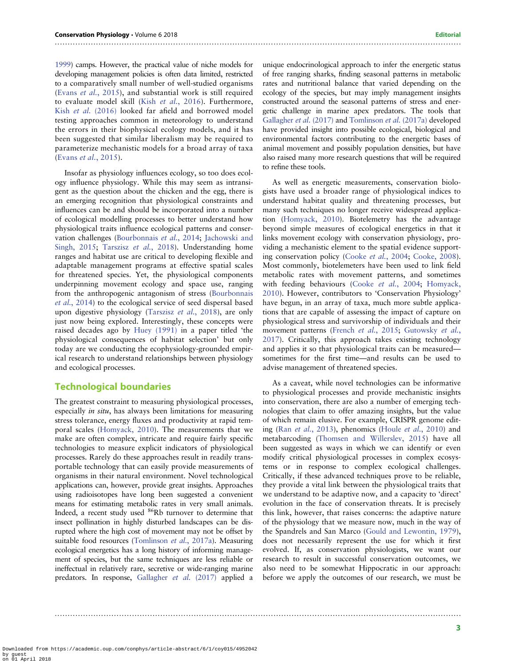[1999\)](#page-4-0) camps. However, the practical value of niche models for developing management policies is often data limited, restricted to a comparatively small number of well-studied organisms (Evans et al.[, 2015\)](#page-3-0), and substantial work is still required to evaluate model skill (Kish et al.[, 2016](#page-4-0)). Furthermore, Kish et al. [\(2016\)](#page-4-0) looked far afield and borrowed model testing approaches common in meteorology to understand the errors in their biophysical ecology models, and it has been suggested that similar liberalism may be required to parameterize mechanistic models for a broad array of taxa (Evans et al.[, 2015\)](#page-3-0).

Insofar as physiology influences ecology, so too does ecology influence physiology. While this may seem as intransigent as the question about the chicken and the egg, there is an emerging recognition that physiological constraints and influences can be and should be incorporated into a number of ecological modelling processes to better understand how physiological traits influence ecological patterns and conservation challenges ([Bourbonnais](#page-3-0) et al., 2014; [Jachowski and](#page-4-0) [Singh, 2015](#page-4-0); [Tarszisz](#page-4-0) et al., 2018). Understanding home ranges and habitat use are critical to developing flexible and adaptable management programs at effective spatial scales for threatened species. Yet, the physiological components underpinning movement ecology and space use, ranging from the anthropogenic antagonism of stress [\(Bourbonnais](#page-3-0) et al.[, 2014\)](#page-3-0) to the ecological service of seed dispersal based upon digestive physiology [\(Tarszisz](#page-4-0) et al., 2018), are only just now being explored. Interestingly, these concepts were raised decades ago by [Huey \(1991\)](#page-4-0) in a paper titled 'the physiological consequences of habitat selection' but only today are we conducting the ecophysiology-grounded empirical research to understand relationships between physiology and ecological processes.

#### Technological boundaries

The greatest constraint to measuring physiological processes, especially *in situ*, has always been limitations for measuring stress tolerance, energy fluxes and productivity at rapid temporal scales ([Homyack, 2010\)](#page-4-0). The measurements that we make are often complex, intricate and require fairly specific technologies to measure explicit indicators of physiological processes. Rarely do these approaches result in readily transportable technology that can easily provide measurements of organisms in their natural environment. Novel technological applications can, however, provide great insights. Approaches using radioisotopes have long been suggested a convenient means for estimating metabolic rates in very small animals. Indeed, a recent study used <sup>86</sup>Rb turnover to determine that insect pollination in highly disturbed landscapes can be disrupted where the high cost of movement may not be offset by suitable food resources [\(Tomlinson](#page-4-0) et al., 2017a). Measuring ecological energetics has a long history of informing management of species, but the same techniques are less reliable or ineffectual in relatively rare, secretive or wide-ranging marine predators. In response, [Gallagher](#page-3-0) et al. (2017) applied a

..............................................................................................................................................................

..............................................................................................................................................................

unique endocrinological approach to infer the energetic status of free ranging sharks, finding seasonal patterns in metabolic rates and nutritional balance that varied depending on the ecology of the species, but may imply management insights constructed around the seasonal patterns of stress and energetic challenge in marine apex predators. The tools that [Gallagher](#page-3-0) et al. (2017) and [Tomlinson](#page-4-0) et al. (2017a) developed have provided insight into possible ecological, biological and environmental factors contributing to the energetic bases of animal movement and possibly population densities, but have also raised many more research questions that will be required to refine these tools.

As well as energetic measurements, conservation biologists have used a broader range of physiological indices to understand habitat quality and threatening processes, but many such techniques no longer receive widespread application ([Homyack, 2010](#page-4-0)). Biotelemetry has the advantage beyond simple measures of ecological energetics in that it links movement ecology with conservation physiology, providing a mechanistic element to the spatial evidence supporting conservation policy (Cooke et al.[, 2004](#page-3-0); [Cooke, 2008\)](#page-3-0). Most commonly, biotelemeters have been used to link field metabolic rates with movement patterns, and sometimes with feeding behaviours (Cooke et al.[, 2004;](#page-3-0) [Homyack,](#page-4-0) [2010\)](#page-4-0). However, contributors to 'Conservation Physiology' have begun, in an array of taxa, much more subtle applications that are capable of assessing the impact of capture on physiological stress and survivorship of individuals and their movement patterns (French et al.[, 2015;](#page-3-0) [Gutowsky](#page-4-0) et al., [2017\)](#page-4-0). Critically, this approach takes existing technology and applies it so that physiological traits can be measured sometimes for the first time—and results can be used to advise management of threatened species.

As a caveat, while novel technologies can be informative to physiological processes and provide mechanistic insights into conservation, there are also a number of emerging technologies that claim to offer amazing insights, but the value of which remain elusive. For example, CRISPR genome editing (Ran et al.[, 2013\)](#page-4-0), phenomics (Houle et al.[, 2010](#page-4-0)) and metabarcoding ([Thomsen and Willerslev, 2015](#page-4-0)) have all been suggested as ways in which we can identify or even modify critical physiological processes in complex ecosystems or in response to complex ecological challenges. Critically, if these advanced techniques prove to be reliable, they provide a vital link between the physiological traits that we understand to be adaptive now, and a capacity to 'direct' evolution in the face of conservation threats. It is precisely this link, however, that raises concerns: the adaptive nature of the physiology that we measure now, much in the way of the Spandrels and San Marco [\(Gould and Lewontin, 1979\)](#page-4-0), does not necessarily represent the use for which it first evolved. If, as conservation physiologists, we want our research to result in successful conservation outcomes, we also need to be somewhat Hippocratic in our approach: before we apply the outcomes of our research, we must be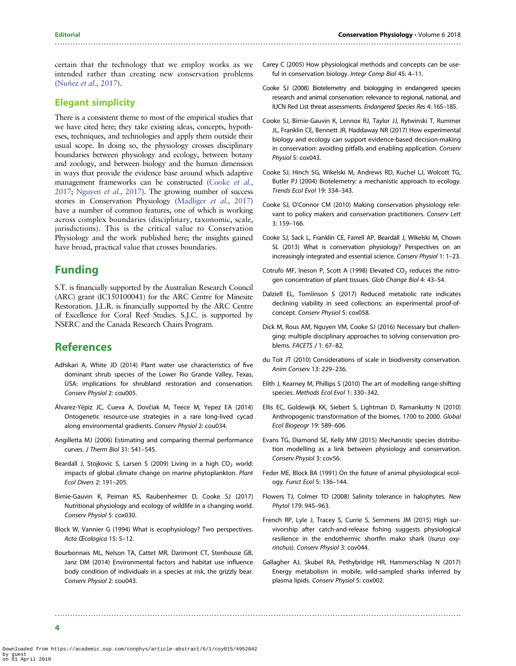# <span id="page-3-0"></span>..............................................................................................................................................................

certain that the technology that we employ works as we intended rather than creating new conservation problems [\(Nuñez](#page-4-0) et al., 2017).

# Elegant simplicity

There is a consistent theme to most of the empirical studies that we have cited here; they take existing ideas, concepts, hypotheses, techniques, and technologies and apply them outside their usual scope. In doing so, the physiology crosses disciplinary boundaries between physiology and ecology, between botany and zoology, and between biology and the human dimension in ways that provide the evidence base around which adaptive management frameworks can be constructed (Cooke et al., 2017; [Nguyen](#page-4-0) et al., 2017). The growing number of success stories in Conservation Physiology [\(Madliger](#page-4-0) et al., 2017) have a number of common features, one of which is working across complex boundaries (disciplinary, taxonomic, scale, jurisdictions). This is the critical value to Conservation Physiology and the work published here; the insights gained have broad, practical value that crosses boundaries.

# Funding

S.T. is financially supported by the Australian Research Council (ARC) grant (IC150100041) for the ARC Centre for Minesite Restoration. J.L.R. is financially supported by the ARC Centre of Excellence for Coral Reef Studies. S.J.C. is supported by NSERC and the Canada Research Chairs Program.

# **References**

- Adhikari A, White JD (2014) Plant water use characteristics of five dominant shrub species of the Lower Rio Grande Valley, Texas, USA: implications for shrubland restoration and conservation. Conserv Physiol 2: cou005.
- Álvarez-Yépiz JC, Cueva A, Dovčiak M, Teece M, Yepez EA (2014) Ontogenetic resource-use strategies in a rare long-lived cycad along environmental gradients. Conserv Physiol 2: cou034.
- Angilletta MJ (2006) Estimating and comparing thermal performance curves. J Therm Biol 31: 541–545.
- Beardall J, Stojkovic S, Larsen S (2009) Living in a high  $CO<sub>2</sub>$  world: impacts of global climate change on marine phytoplankton. Plant Ecol Divers 2: 191–205.
- Birnie-Gauvin K, Peiman KS, Raubenheimer D, Cooke SJ (2017) Nutritional physiology and ecology of wildlife in a changing world. Conserv Physiol 5: cox030.
- Block W, Vannier G (1994) What is ecophysiology? Two perspectives. Acta Œcologica 15: 5–12.
- Bourbonnais ML, Nelson TA, Cattet MR, Darimont CT, Stenhouse GB, Janz DM (2014) Environmental factors and habitat use influence body condition of individuals in a species at risk, the grizzly bear. Conserv Physiol 2: cou043.
- Carey C (2005) How physiological methods and concepts can be useful in conservation biology. Integr Comp Biol 45: 4–11.
- Cooke SJ (2008) Biotelemetry and biologging in endangered species research and animal conservation: relevance to regional, national, and IUCN Red List threat assessments. Endangered Species Res 4: 165–185.
- Cooke SJ, Birnie-Gauvin K, Lennox RJ, Taylor JJ, Rytwinski T, Rummer JL, Franklin CE, Bennett JR, Haddaway NR (2017) How experimental biology and ecology can support evidence-based decision-making in conservation: avoiding pitfalls and enabling application. Conserv Physiol 5: cox043.
- Cooke SJ, Hinch SG, Wikelski M, Andrews RD, Kuchel LJ, Wolcott TG, Butler PJ (2004) Biotelemetry: a mechanistic approach to ecology. Trends Ecol Evol 19: 334–343.
- Cooke SJ, O'Connor CM (2010) Making conservation physiology relevant to policy makers and conservation practitioners. Conserv Lett 3: 159–166.
- Cooke SJ, Sack L, Franklin CE, Farrell AP, Beardall J, Wikelski M, Chown SL (2013) What is conservation physiology? Perspectives on an increasingly integrated and essential science. Conserv Physiol 1: 1–23.
- Cotrufo MF, Ineson P, Scott A (1998) Elevated  $CO<sub>2</sub>$  reduces the nitrogen concentration of plant tissues. Glob Change Biol 4: 43–54.
- Dalziell EL, Tomlinson S (2017) Reduced metabolic rate indicates declining viability in seed collections: an experimental proof-ofconcept. Conserv Physiol 5: cox058.
- Dick M, Rous AM, Nguyen VM, Cooke SJ (2016) Necessary but challenging: multiple disciplinary approaches to solving conservation problems. FACETS J 1: 67–82.
- du Toit JT (2010) Considerations of scale in biodiversity conservation. Anim Conserv 13: 229–236.
- Elith J, Kearney M, Phillips S (2010) The art of modelling range-shifting species. Methods Ecol Evol 1: 330–342.
- Ellis EC, Goldewijk KK, Siebert S, Lightman D, Ramankutty N (2010) Anthropogenic transformation of the biomes, 1700 to 2000. Global Ecol Biogeogr 19: 589–606.
- Evans TG, Diamond SE, Kelly MW (2015) Mechanistic species distribution modelling as a link between physiology and conservation. Conserv Physiol 3: cov56.
- Feder ME, Block BA (1991) On the future of animal physiological ecology. Funct Ecol 5: 136–144.
- Flowers TJ, Colmer TD (2008) Salinity tolerance in halophytes. New Phytol 179: 945–963.
- French RP, Lyle J, Tracey S, Currie S, Semmens JM (2015) High survivorship after catch-and-release fishing suggests physiological resilience in the endothermic shortfin mako shark (Isurus oxyrinchus). Conserv Physiol 3: cov044.
- Gallagher AJ, Skubel RA, Pethybridge HR, Hammerschlag N (2017) Energy metabolism in mobile, wild-sampled sharks inferred by plasma lipids. Conserv Physiol 5: cox002.

..............................................................................................................................................................

4